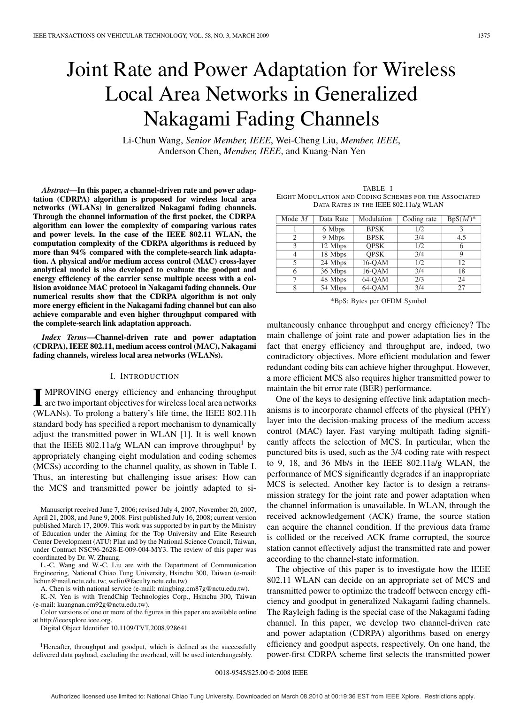# Joint Rate and Power Adaptation for Wireless Local Area Networks in Generalized Nakagami Fading Channels

Li-Chun Wang, *Senior Member, IEEE*, Wei-Cheng Liu, *Member, IEEE*, Anderson Chen, *Member, IEEE*, and Kuang-Nan Yen

*Abstract***—In this paper, a channel-driven rate and power adaptation (CDRPA) algorithm is proposed for wireless local area networks (WLANs) in generalized Nakagami fading channels. Through the channel information of the first packet, the CDRPA algorithm can lower the complexity of comparing various rates and power levels. In the case of the IEEE 802.11 WLAN, the computation complexity of the CDRPA algorithms is reduced by more than 94% compared with the complete-search link adaptation. A physical and/or medium access control (MAC) cross-layer analytical model is also developed to evaluate the goodput and energy efficiency of the carrier sense multiple access with a collision avoidance MAC protocol in Nakagami fading channels. Our numerical results show that the CDRPA algorithm is not only more energy efficient in the Nakagami fading channel but can also achieve comparable and even higher throughput compared with the complete-search link adaptation approach.**

*Index Terms***—Channel-driven rate and power adaptation (CDRPA), IEEE 802.11, medium access control (MAC), Nakagami fading channels, wireless local area networks (WLANs).**

# I. INTRODUCTION

**I** MPROVING energy efficiency and enhancing throughput are two important objectives for wireless local area networks (WLANs). To prolong a battery's life time, the IEEE 802.11h standard body has specified a report mechanism to dynamically adjust the transmitted power in WLAN [1]. It is well known that the IEEE 802.11a/g WLAN can improve throughput<sup>1</sup> by appropriately changing eight modulation and coding schemes (MCSs) according to the channel quality, as shown in Table I. Thus, an interesting but challenging issue arises: How can the MCS and transmitted power be jointly adapted to si-

Manuscript received June 7, 2006; revised July 4, 2007, November 20, 2007, April 21, 2008, and June 9, 2008. First published July 16, 2008; current version published March 17, 2009. This work was supported by in part by the Ministry of Education under the Aiming for the Top University and Elite Research Center Development (ATU) Plan and by the National Science Council, Taiwan, under Contract NSC96-2628-E-009-004-MY3. The review of this paper was coordinated by Dr. W. Zhuang.

L.-C. Wang and W.-C. Liu are with the Department of Communication Engineering, National Chiao Tung University, Hsinchu 300, Taiwan (e-mail: lichun@mail.nctu.edu.tw; wcliu@faculty.nctu.edu.tw).

A. Chen is with national service (e-mail: mingbing.cm87g@nctu.edu.tw).

K.-N. Yen is with TrendChip Technologies Corp., Hsinchu 300, Taiwan (e-mail: kuangnan.cm92g@nctu.edu.tw).

Color versions of one or more of the figures in this paper are available online at http://ieeexplore.ieee.org.

Digital Object Identifier 10.1109/TVT.2008.928641

<sup>1</sup>Hereafter, throughput and goodput, which is defined as the successfully delivered data payload, excluding the overhead, will be used interchangeably.

TABLE I EIGHT MODULATION AND CODING SCHEMES FOR THE ASSOCIATED DATA RATES IN THE IEEE 802.11a/g WLAN

| Mode $M$       | Data Rate | Modulation  | Coding rate | $BpS(M)^*$ |
|----------------|-----------|-------------|-------------|------------|
|                | 6 Mbps    | <b>BPSK</b> | 1/2         | 3          |
| $\overline{c}$ | 9 Mbps    | <b>BPSK</b> | 3/4         | 4.5        |
| 3              | 12 Mbps   | <b>OPSK</b> | 1/2         | 6          |
| 4              | 18 Mbps   | <b>OPSK</b> | 3/4         | 9          |
| 5              | 24 Mbps   | 16-OAM      | 1/2         | 12         |
| 6              | 36 Mbps   | 16-OAM      | 3/4         | 18         |
| 7              | 48 Mbps   | 64-OAM      | 2/3         | 24         |
| 8              | 54 Mbps   | 64-OAM      | 3/4         | 27         |
|                |           |             |             |            |

\*BpS: Bytes per OFDM Symbol

multaneously enhance throughput and energy efficiency? The main challenge of joint rate and power adaptation lies in the fact that energy efficiency and throughput are, indeed, two contradictory objectives. More efficient modulation and fewer redundant coding bits can achieve higher throughput. However, a more efficient MCS also requires higher transmitted power to maintain the bit error rate (BER) performance.

One of the keys to designing effective link adaptation mechanisms is to incorporate channel effects of the physical (PHY) layer into the decision-making process of the medium access control (MAC) layer. Fast varying multipath fading significantly affects the selection of MCS. In particular, when the punctured bits is used, such as the 3/4 coding rate with respect to 9, 18, and 36 Mb/s in the IEEE 802.11a/g WLAN, the performance of MCS significantly degrades if an inappropriate MCS is selected. Another key factor is to design a retransmission strategy for the joint rate and power adaptation when the channel information is unavailable. In WLAN, through the received acknowledgement (ACK) frame, the source station can acquire the channel condition. If the previous data frame is collided or the received ACK frame corrupted, the source station cannot effectively adjust the transmitted rate and power according to the channel-state information.

The objective of this paper is to investigate how the IEEE 802.11 WLAN can decide on an appropriate set of MCS and transmitted power to optimize the tradeoff between energy efficiency and goodput in generalized Nakagami fading channels. The Rayleigh fading is the special case of the Nakagami fading channel. In this paper, we develop two channel-driven rate and power adaptation (CDRPA) algorithms based on energy efficiency and goodput aspects, respectively. On one hand, the power-first CDRPA scheme first selects the transmitted power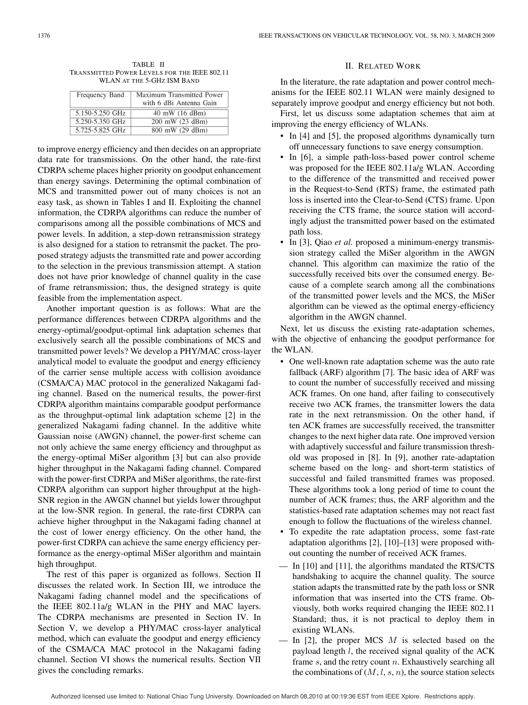TABLE II TRANSMITTED POWER LEVELS FOR THE IEEE 802.11 WLAN AT THE 5-GHZ ISM BAND

| Frequency Band  | Maximum Transmitted Power<br>with 6 dBi Antenna Gain |
|-----------------|------------------------------------------------------|
| 5.150-5.250 GHz | 40 mW (16 dBm)                                       |
| 5.250-5.350 GHz | 200 mW (23 dBm)                                      |
| 5.725-5.825 GHz | 800 mW (29 dBm)                                      |

to improve energy efficiency and then decides on an appropriate data rate for transmissions. On the other hand, the rate-first CDRPA scheme places higher priority on goodput enhancement than energy savings. Determining the optimal combination of MCS and transmitted power out of many choices is not an easy task, as shown in Tables I and II. Exploiting the channel information, the CDRPA algorithms can reduce the number of comparisons among all the possible combinations of MCS and power levels. In addition, a step-down retransmission strategy is also designed for a station to retransmit the packet. The proposed strategy adjusts the transmitted rate and power according to the selection in the previous transmission attempt. A station does not have prior knowledge of channel quality in the case of frame retransmission; thus, the designed strategy is quite feasible from the implementation aspect.

Another important question is as follows: What are the performance differences between CDRPA algorithms and the energy-optimal/goodput-optimal link adaptation schemes that exclusively search all the possible combinations of MCS and transmitted power levels? We develop a PHY/MAC cross-layer analytical model to evaluate the goodput and energy efficiency of the carrier sense multiple access with collision avoidance (CSMA/CA) MAC protocol in the generalized Nakagami fading channel. Based on the numerical results, the power-first CDRPA algorithm maintains comparable goodput performance as the throughput-optimal link adaptation scheme [2] in the generalized Nakagami fading channel. In the additive white Gaussian noise (AWGN) channel, the power-first scheme can not only achieve the same energy efficiency and throughput as the energy-optimal MiSer algorithm [3] but can also provide higher throughput in the Nakagami fading channel. Compared with the power-first CDRPA and MiSer algorithms, the rate-first CDRPA algorithm can support higher throughput at the high-SNR region in the AWGN channel but yields lower throughput at the low-SNR region. In general, the rate-first CDRPA can achieve higher throughput in the Nakagami fading channel at the cost of lower energy efficiency. On the other hand, the power-first CDRPA can achieve the same energy efficiency performance as the energy-optimal MiSer algorithm and maintain high throughput.

The rest of this paper is organized as follows. Section II discusses the related work. In Section III, we introduce the Nakagami fading channel model and the specifications of the IEEE 802.11a/g WLAN in the PHY and MAC layers. The CDRPA mechanisms are presented in Section IV. In Section V, we develop a PHY/MAC cross-layer analytical method, which can evaluate the goodput and energy efficiency of the CSMA/CA MAC protocol in the Nakagami fading channel. Section VI shows the numerical results. Section VII gives the concluding remarks.

# II. RELATED WORK

In the literature, the rate adaptation and power control mechanisms for the IEEE 802.11 WLAN were mainly designed to separately improve goodput and energy efficiency but not both.

First, let us discuss some adaptation schemes that aim at improving the energy efficiency of WLANs.

- In [4] and [5], the proposed algorithms dynamically turn off unnecessary functions to save energy consumption.
- In [6], a simple path-loss-based power control scheme was proposed for the IEEE 802.11a/g WLAN. According to the difference of the transmitted and received power in the Request-to-Send (RTS) frame, the estimated path loss is inserted into the Clear-to-Send (CTS) frame. Upon receiving the CTS frame, the source station will accordingly adjust the transmitted power based on the estimated path loss.
- In [3], Qiao *et al.* proposed a minimum-energy transmission strategy called the MiSer algorithm in the AWGN channel. This algorithm can maximize the ratio of the successfully received bits over the consumed energy. Because of a complete search among all the combinations of the transmitted power levels and the MCS, the MiSer algorithm can be viewed as the optimal energy-efficiency algorithm in the AWGN channel.

Next, let us discuss the existing rate-adaptation schemes, with the objective of enhancing the goodput performance for the WLAN.

- One well-known rate adaptation scheme was the auto rate fallback (ARF) algorithm [7]. The basic idea of ARF was to count the number of successfully received and missing ACK frames. On one hand, after failing to consecutively receive two ACK frames, the transmitter lowers the data rate in the next retransmission. On the other hand, if ten ACK frames are successfully received, the transmitter changes to the next higher data rate. One improved version with adaptively successful and failure transmission threshold was proposed in [8]. In [9], another rate-adaptation scheme based on the long- and short-term statistics of successful and failed transmitted frames was proposed. These algorithms took a long period of time to count the number of ACK frames; thus, the ARF algorithm and the statistics-based rate adaptation schemes may not react fast enough to follow the fluctuations of the wireless channel.
- To expedite the rate adaptation process, some fast-rate adaptation algorithms [2], [10]–[13] were proposed without counting the number of received ACK frames.
- In [10] and [11], the algorithms mandated the RTS/CTS handshaking to acquire the channel quality. The source station adapts the transmitted rate by the path loss or SNR information that was inserted into the CTS frame. Obviously, both works required changing the IEEE 802.11 Standard; thus, it is not practical to deploy them in existing WLANs.
- In [2], the proper MCS  $M$  is selected based on the payload length  $l$ , the received signal quality of the ACK frame s, and the retry count n. Exhaustively searching all the combinations of  $(M, l, s, n)$ , the source station selects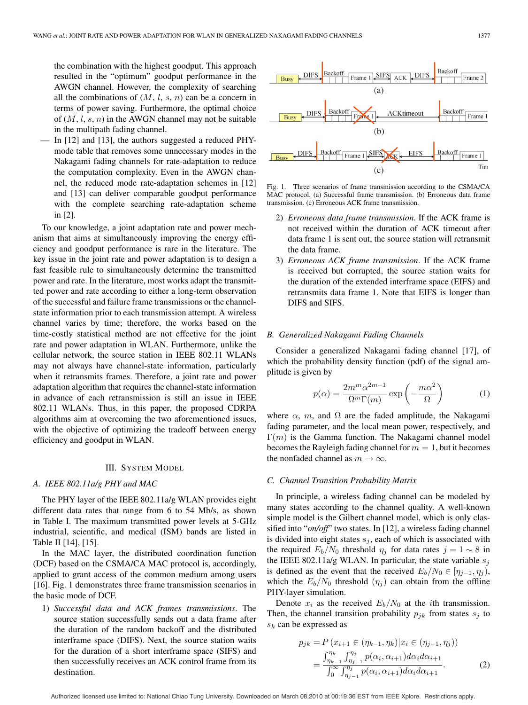the combination with the highest goodput. This approach resulted in the "optimum" goodput performance in the AWGN channel. However, the complexity of searching all the combinations of  $(M, l, s, n)$  can be a concern in terms of power saving. Furthermore, the optimal choice of  $(M, l, s, n)$  in the AWGN channel may not be suitable in the multipath fading channel.

In [12] and [13], the authors suggested a reduced PHYmode table that removes some unnecessary modes in the Nakagami fading channels for rate-adaptation to reduce the computation complexity. Even in the AWGN channel, the reduced mode rate-adaptation schemes in [12] and [13] can deliver comparable goodput performance with the complete searching rate-adaptation scheme in [2].

To our knowledge, a joint adaptation rate and power mechanism that aims at simultaneously improving the energy efficiency and goodput performance is rare in the literature. The key issue in the joint rate and power adaptation is to design a fast feasible rule to simultaneously determine the transmitted power and rate. In the literature, most works adapt the transmitted power and rate according to either a long-term observation of the successful and failure frame transmissions or the channelstate information prior to each transmission attempt. A wireless channel varies by time; therefore, the works based on the time-costly statistical method are not effective for the joint rate and power adaptation in WLAN. Furthermore, unlike the cellular network, the source station in IEEE 802.11 WLANs may not always have channel-state information, particularly when it retransmits frames. Therefore, a joint rate and power adaptation algorithm that requires the channel-state information in advance of each retransmission is still an issue in IEEE 802.11 WLANs. Thus, in this paper, the proposed CDRPA algorithms aim at overcoming the two aforementioned issues, with the objective of optimizing the tradeoff between energy efficiency and goodput in WLAN.

#### III. SYSTEM MODEL

# *A. IEEE 802.11a/g PHY and MAC*

The PHY layer of the IEEE 802.11a/g WLAN provides eight different data rates that range from 6 to 54 Mb/s, as shown in Table I. The maximum transmitted power levels at 5-GHz industrial, scientific, and medical (ISM) bands are listed in Table II [14], [15].

In the MAC layer, the distributed coordination function (DCF) based on the CSMA/CA MAC protocol is, accordingly, applied to grant access of the common medium among users [16]. Fig. 1 demonstrates three frame transmission scenarios in the basic mode of DCF.

1) *Successful data and ACK frames transmissions*. The source station successfully sends out a data frame after the duration of the random backoff and the distributed interframe space (DIFS). Next, the source station waits for the duration of a short interframe space (SIFS) and then successfully receives an ACK control frame from its destination.



Fig. 1. Three scenarios of frame transmission according to the CSMA/CA MAC protocol. (a) Successful frame transmission. (b) Erroneous data frame transmission. (c) Erroneous ACK frame transmission.

- 2) *Erroneous data frame transmission*. If the ACK frame is not received within the duration of ACK timeout after data frame 1 is sent out, the source station will retransmit the data frame.
- 3) *Erroneous ACK frame transmission*. If the ACK frame is received but corrupted, the source station waits for the duration of the extended interframe space (EIFS) and retransmits data frame 1. Note that EIFS is longer than DIFS and SIFS.

#### *B. Generalized Nakagami Fading Channels*

Consider a generalized Nakagami fading channel [17], of which the probability density function (pdf) of the signal amplitude is given by

$$
p(\alpha) = \frac{2m^m \alpha^{2m-1}}{\Omega^m \Gamma(m)} \exp\left(-\frac{m\alpha^2}{\Omega}\right)
$$
 (1)

where  $\alpha$ , m, and  $\Omega$  are the faded amplitude, the Nakagami fading parameter, and the local mean power, respectively, and  $\Gamma(m)$  is the Gamma function. The Nakagami channel model becomes the Rayleigh fading channel for  $m = 1$ , but it becomes the nonfaded channel as  $m \to \infty$ .

#### *C. Channel Transition Probability Matrix*

In principle, a wireless fading channel can be modeled by many states according to the channel quality. A well-known simple model is the Gilbert channel model, which is only classified into "*on/off*" two states. In [12], a wireless fading channel is divided into eight states  $s_i$ , each of which is associated with the required  $E_b/N_0$  threshold  $\eta_j$  for data rates  $j = 1 \sim 8$  in the IEEE 802.11a/g WLAN. In particular, the state variable  $s_i$ is defined as the event that the received  $E_b/N_0 \in [\eta_{j-1}, \eta_j)$ , which the  $E_b/N_0$  threshold  $(\eta_j)$  can obtain from the offline PHY-layer simulation.

Denote  $x_i$  as the received  $E_b/N_0$  at the *i*th transmission. Then, the channel transition probability  $p_{ik}$  from states  $s_i$  to  $s_k$  can be expressed as

$$
p_{jk} = P(x_{i+1} \in (\eta_{k-1}, \eta_k) | x_i \in (\eta_{j-1}, \eta_j))
$$
  
= 
$$
\frac{\int_{\eta_{k-1}}^{\eta_k} \int_{\eta_{j-1}}^{\eta_j} p(\alpha_i, \alpha_{i+1}) d\alpha_i d\alpha_{i+1}}{\int_0^\infty \int_{\eta_{j-1}}^{\eta_j} p(\alpha_i, \alpha_{i+1}) d\alpha_i d\alpha_{i+1}}.
$$
 (2)

Authorized licensed use limited to: National Chiao Tung University. Downloaded on March 08,2010 at 00:19:36 EST from IEEE Xplore. Restrictions apply.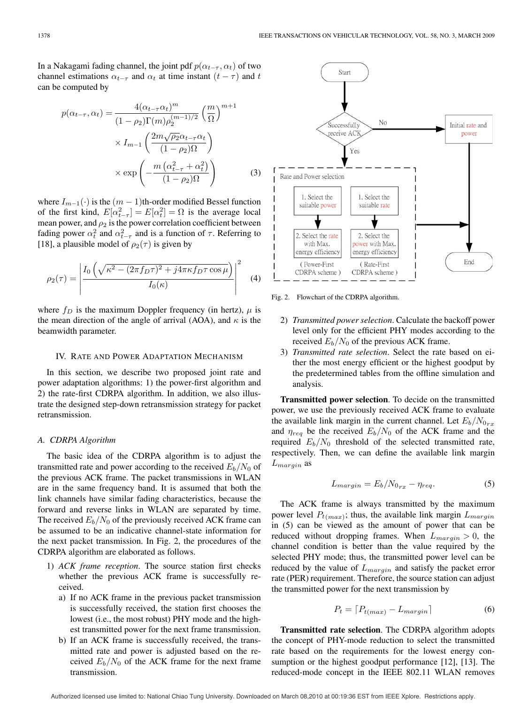In a Nakagami fading channel, the joint pdf  $p(\alpha_{t-\tau}, \alpha_t)$  of two channel estimations  $\alpha_{t-\tau}$  and  $\alpha_t$  at time instant  $(t-\tau)$  and t can be computed by

$$
p(\alpha_{t-\tau}, \alpha_t) = \frac{4(\alpha_{t-\tau}\alpha_t)^m}{(1-\rho_2)\Gamma(m)\rho_2^{(m-1)/2}} \left(\frac{m}{\Omega}\right)^{m+1}
$$

$$
\times I_{m-1} \left(\frac{2m\sqrt{\rho_2}\alpha_{t-\tau}\alpha_t}{(1-\rho_2)\Omega}\right)
$$

$$
\times \exp\left(-\frac{m(\alpha_{t-\tau}^2 + \alpha_t^2)}{(1-\rho_2)\Omega}\right) \tag{3}
$$

where  $I_{m-1}(\cdot)$  is the  $(m-1)$ th-order modified Bessel function of the first kind,  $E[\alpha_{t-\tau}^2] = E[\alpha_t^2] = \Omega$  is the average local mean power, and  $\rho_2$  is the power correlation coefficient between fading power  $\alpha_t^2$  and  $\alpha_{t-\tau}^2$  and is a function of  $\tau$ . Referring to [18], a plausible model of  $\rho_2(\tau)$  is given by

$$
\rho_2(\tau) = \left| \frac{I_0\left(\sqrt{\kappa^2 - (2\pi f_D \tau)^2 + j4\pi\kappa f_D \tau \cos \mu}\right)}{I_0(\kappa)} \right|^2 \quad (4)
$$

where  $f_D$  is the maximum Doppler frequency (in hertz),  $\mu$  is the mean direction of the angle of arrival (AOA), and  $\kappa$  is the beamwidth parameter.

#### IV. RATE AND POWER ADAPTATION MECHANISM

In this section, we describe two proposed joint rate and power adaptation algorithms: 1) the power-first algorithm and 2) the rate-first CDRPA algorithm. In addition, we also illustrate the designed step-down retransmission strategy for packet retransmission.

# *A. CDRPA Algorithm*

The basic idea of the CDRPA algorithm is to adjust the transmitted rate and power according to the received  $E_b/N_0$  of the previous ACK frame. The packet transmissions in WLAN are in the same frequency band. It is assumed that both the link channels have similar fading characteristics, because the forward and reverse links in WLAN are separated by time. The received  $E_b/N_0$  of the previously received ACK frame can be assumed to be an indicative channel-state information for the next packet transmission. In Fig. 2, the procedures of the CDRPA algorithm are elaborated as follows.

- 1) *ACK frame reception*. The source station first checks whether the previous ACK frame is successfully received.
	- a) If no ACK frame in the previous packet transmission is successfully received, the station first chooses the lowest (i.e., the most robust) PHY mode and the highest transmitted power for the next frame transmission.
	- b) If an ACK frame is successfully received, the transmitted rate and power is adjusted based on the received  $E_b/N_0$  of the ACK frame for the next frame transmission.



Fig. 2. Flowchart of the CDRPA algorithm.

- 2) *Transmitted power selection*. Calculate the backoff power level only for the efficient PHY modes according to the received  $E_b/N_0$  of the previous ACK frame.
- 3) *Transmitted rate selection*. Select the rate based on either the most energy efficient or the highest goodput by the predetermined tables from the offline simulation and analysis.

**Transmitted power selection**. To decide on the transmitted power, we use the previously received ACK frame to evaluate the available link margin in the current channel. Let  $E_b/N_{0_{rx}}$ and  $\eta_{req}$  be the received  $E_b/N_0$  of the ACK frame and the required  $E_b/N_0$  threshold of the selected transmitted rate, respectively. Then, we can define the available link margin  $L_{margin}$  as

$$
L_{margin} = E_b / N_{0_{rx}} - \eta_{req}.
$$
 (5)

The ACK frame is always transmitted by the maximum power level  $P_{t(max)}$ ; thus, the available link margin  $L_{margin}$ in (5) can be viewed as the amount of power that can be reduced without dropping frames. When  $L_{margin} > 0$ , the channel condition is better than the value required by the selected PHY mode; thus, the transmitted power level can be reduced by the value of  $L_{margin}$  and satisfy the packet error rate (PER) requirement. Therefore, the source station can adjust the transmitted power for the next transmission by

$$
P_t = \lceil P_{t(max)} - L_{margin} \rceil \tag{6}
$$

**Transmitted rate selection**. The CDRPA algorithm adopts the concept of PHY-mode reduction to select the transmitted rate based on the requirements for the lowest energy consumption or the highest goodput performance [12], [13]. The reduced-mode concept in the IEEE 802.11 WLAN removes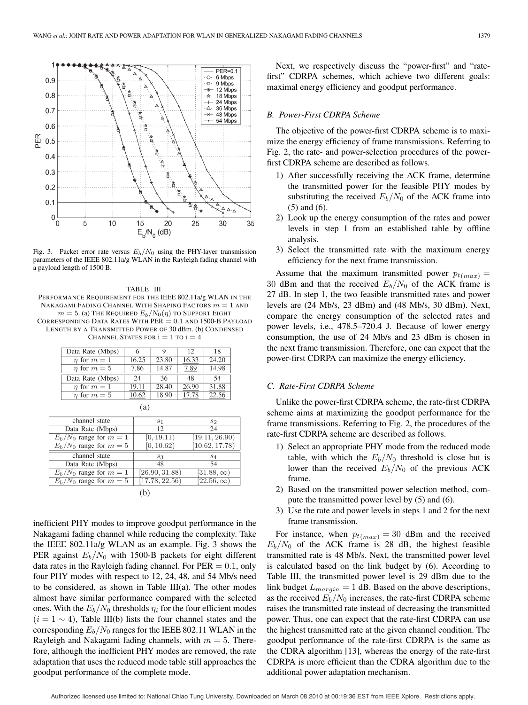

Fig. 3. Packet error rate versus  $E_b/N_0$  using the PHY-layer transmission parameters of the IEEE 802.11a/g WLAN in the Rayleigh fading channel with a payload length of 1500 B.

TABLE III PERFORMANCE REQUIREMENT FOR THE IEEE 802.11a/g WLAN IN THE NAKAGAMI FADING CHANNEL WITH SHAPING FACTORS  $m = 1$  and  $m = 5$ . (a) The Required  $E_b/N_0(\eta)$  to Support Eight CORRESPONDING DATA RATES WITH  $PER = 0.1$  AND 1500-B PAYLOAD LENGTH BY A TRANSMITTED POWER OF 30 dBm. (b) CONDENSED CHANNEL STATES FOR  $i=1$  TO  $i=4$ 

| Data Rate (Mbps)     |       | 9     | 12    | 18    |  |
|----------------------|-------|-------|-------|-------|--|
| $\eta$ for $m=1$     | 16.25 | 23.80 | 16.33 | 24.20 |  |
| $\eta$ for $m=5$     | 7.86  | 14.87 | 7.89  | 14.98 |  |
| Data Rate (Mbps)     | 24    | 36    | 48    | 54    |  |
| $\eta$ for $m=1$     | 19.11 | 28.40 | 26.90 | 31.88 |  |
| <i>n</i> for $m = 5$ | 10.62 | 18.90 | 17.78 | 22.56 |  |
| (a)                  |       |       |       |       |  |

| channel state             | S <sub>1</sub> | S <sub>2</sub>              |
|---------------------------|----------------|-----------------------------|
| Data Rate (Mbps)          | 12             | 24                          |
| $E_b/N_0$ range for $m=1$ | [0, 19.11)     | [19.11, 26.90]              |
| $E_h/N_0$ range for $m=5$ | [0, 10.62)     | [10.62, 17.78]              |
| channel state             | $s_3$          | $S_4$                       |
| Data Rate (Mbps)          | 48             | 54                          |
| $E_h/N_0$ range for $m=1$ | [26.90, 31.88] | $[31.88,\infty)$            |
| $E_b/N_0$ range for $m=5$ | [17.78, 22.56] | $\overline{[22.56,\infty)}$ |
|                           |                |                             |

inefficient PHY modes to improve goodput performance in the Nakagami fading channel while reducing the complexity. Take the IEEE 802.11a/g WLAN as an example. Fig. 3 shows the PER against  $E_b/N_0$  with 1500-B packets for eight different data rates in the Rayleigh fading channel. For  $PER = 0.1$ , only four PHY modes with respect to 12, 24, 48, and 54 Mb/s need to be considered, as shown in Table III(a). The other modes almost have similar performance compared with the selected ones. With the  $E_b/N_0$  thresholds  $\eta_i$  for the four efficient modes  $(i = 1 \sim 4)$ , Table III(b) lists the four channel states and the corresponding  $E_b/N_0$  ranges for the IEEE 802.11 WLAN in the Rayleigh and Nakagami fading channels, with  $m = 5$ . Therefore, although the inefficient PHY modes are removed, the rate adaptation that uses the reduced mode table still approaches the goodput performance of the complete mode.

Next, we respectively discuss the "power-first" and "ratefirst" CDRPA schemes, which achieve two different goals: maximal energy efficiency and goodput performance.

#### *B. Power-First CDRPA Scheme*

The objective of the power-first CDRPA scheme is to maximize the energy efficiency of frame transmissions. Referring to Fig. 2, the rate- and power-selection procedures of the powerfirst CDRPA scheme are described as follows.

- 1) After successfully receiving the ACK frame, determine the transmitted power for the feasible PHY modes by substituting the received  $E_b/N_0$  of the ACK frame into (5) and (6).
- 2) Look up the energy consumption of the rates and power levels in step 1 from an established table by offline analysis.
- 3) Select the transmitted rate with the maximum energy efficiency for the next frame transmission.

Assume that the maximum transmitted power  $p_{t(max)} =$ 30 dBm and that the received  $E_b/N_0$  of the ACK frame is 27 dB. In step 1, the two feasible transmitted rates and power levels are (24 Mb/s, 23 dBm) and (48 Mb/s, 30 dBm). Next, compare the energy consumption of the selected rates and power levels, i.e., 478.5–720.4 J. Because of lower energy consumption, the use of 24 Mb/s and 23 dBm is chosen in the next frame transmission. Therefore, one can expect that the power-first CDRPA can maximize the energy efficiency.

# *C. Rate-First CDRPA Scheme*

Unlike the power-first CDRPA scheme, the rate-first CDRPA scheme aims at maximizing the goodput performance for the frame transmissions. Referring to Fig. 2, the procedures of the rate-first CDRPA scheme are described as follows.

- 1) Select an appropriate PHY mode from the reduced mode table, with which the  $E_b/N_0$  threshold is close but is lower than the received  $E_b/N_0$  of the previous ACK frame.
- 2) Based on the transmitted power selection method, compute the transmitted power level by (5) and (6).
- 3) Use the rate and power levels in steps 1 and 2 for the next frame transmission.

For instance, when  $p_{t(max)} = 30$  dBm and the received  $E_b/N_0$  of the ACK frame is 28 dB, the highest feasible transmitted rate is 48 Mb/s. Next, the transmitted power level is calculated based on the link budget by (6). According to Table III, the transmitted power level is 29 dBm due to the link budget  $L_{margin} = 1$  dB. Based on the above descriptions, as the received  $E_b/N_0$  increases, the rate-first CDRPA scheme raises the transmitted rate instead of decreasing the transmitted power. Thus, one can expect that the rate-first CDRPA can use the highest transmitted rate at the given channel condition. The goodput performance of the rate-first CDRPA is the same as the CDRA algorithm [13], whereas the energy of the rate-first CDRPA is more efficient than the CDRA algorithm due to the additional power adaptation mechanism.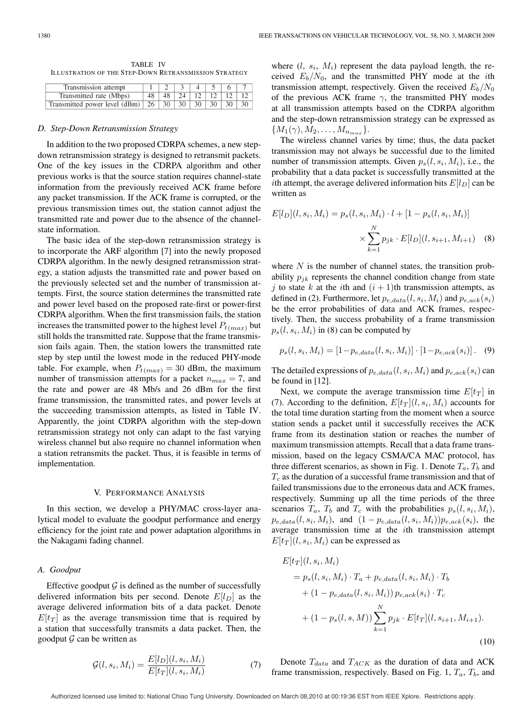TABLE IV ILLUSTRATION OF THE STEP-DOWN RETRANSMISSION STRATEGY

| Transmission attempt                                        |  |  |                          |  |
|-------------------------------------------------------------|--|--|--------------------------|--|
| Transmitted rate (Mbps)                                     |  |  | $48$   24   12   12   12 |  |
| Transmitted power level (dBm)   26   30   30   30   30   30 |  |  |                          |  |

#### *D. Step-Down Retransmission Strategy*

In addition to the two proposed CDRPA schemes, a new stepdown retransmission strategy is designed to retransmit packets. One of the key issues in the CDRPA algorithm and other previous works is that the source station requires channel-state information from the previously received ACK frame before any packet transmission. If the ACK frame is corrupted, or the previous transmission times out, the station cannot adjust the transmitted rate and power due to the absence of the channelstate information.

The basic idea of the step-down retransmission strategy is to incorporate the ARF algorithm [7] into the newly proposed CDRPA algorithm. In the newly designed retransmission strategy, a station adjusts the transmitted rate and power based on the previously selected set and the number of transmission attempts. First, the source station determines the transmitted rate and power level based on the proposed rate-first or power-first CDRPA algorithm. When the first transmission fails, the station increases the transmitted power to the highest level  $P_{t(max)}$  but still holds the transmitted rate. Suppose that the frame transmission fails again. Then, the station lowers the transmitted rate step by step until the lowest mode in the reduced PHY-mode table. For example, when  $P_{t(max)} = 30$  dBm, the maximum number of transmission attempts for a packet  $n_{max} = 7$ , and the rate and power are 48 Mb/s and 26 dBm for the first frame transmission, the transmitted rates, and power levels at the succeeding transmission attempts, as listed in Table IV. Apparently, the joint CDRPA algorithm with the step-down retransmission strategy not only can adapt to the fast varying wireless channel but also require no channel information when a station retransmits the packet. Thus, it is feasible in terms of implementation.

### V. PERFORMANCE ANALYSIS

In this section, we develop a PHY/MAC cross-layer analytical model to evaluate the goodput performance and energy efficiency for the joint rate and power adaptation algorithms in the Nakagami fading channel.

#### *A. Goodput*

Effective goodput  $G$  is defined as the number of successfully delivered information bits per second. Denote  $E[l_D]$  as the average delivered information bits of a data packet. Denote  $E[t_T]$  as the average transmission time that is required by a station that successfully transmits a data packet. Then, the goodput  $G$  can be written as

$$
\mathcal{G}(l, s_i, M_i) = \frac{E[l_D](l, s_i, M_i)}{E[t_T](l, s_i, M_i)}
$$
(7)

where  $(l, s_i, M_i)$  represent the data payload length, the received  $E_b/N_0$ , and the transmitted PHY mode at the *i*th transmission attempt, respectively. Given the received  $E_b/N_0$ of the previous ACK frame  $\gamma$ , the transmitted PHY modes at all transmission attempts based on the CDRPA algorithm and the step-down retransmission strategy can be expressed as  ${M_1(\gamma), M_2, \ldots, M_{n_{max}}}.$ 

The wireless channel varies by time; thus, the data packet transmission may not always be successful due to the limited number of transmission attempts. Given  $p_s(l, s_i, M_i)$ , i.e., the probability that a data packet is successfully transmitted at the ith attempt, the average delivered information bits  $E[l_D]$  can be written as

$$
E[l_D](l, s_i, M_i) = p_s(l, s_i, M_i) \cdot l + [1 - p_s(l, s_i, M_i)]
$$

$$
\times \sum_{k=1}^{N} p_{jk} \cdot E[l_D](l, s_{i+1}, M_{i+1}) \quad (8)
$$

where  $N$  is the number of channel states, the transition probability  $p_{ik}$  represents the channel condition change from state j to state k at the ith and  $(i + 1)$ th transmission attempts, as defined in (2). Furthermore, let  $p_{e, data}(l, s_i, M_i)$  and  $p_{e, ack}(s_i)$ be the error probabilities of data and ACK frames, respectively. Then, the success probability of a frame transmission  $p_s(l, s_i, M_i)$  in (8) can be computed by

$$
p_s(l, s_i, M_i) = [1 - p_{e, data}(l, s_i, M_i)] \cdot [1 - p_{e, ack}(s_i)]. \quad (9)
$$

The detailed expressions of  $p_{e,data}(l, s_i, M_i)$  and  $p_{e,ack}(s_i)$  can be found in [12].

Next, we compute the average transmission time  $E[t_T]$  in (7). According to the definition,  $E[t_T](l, s_i, M_i)$  accounts for the total time duration starting from the moment when a source station sends a packet until it successfully receives the ACK frame from its destination station or reaches the number of maximum transmission attempts. Recall that a data frame transmission, based on the legacy CSMA/CA MAC protocol, has three different scenarios, as shown in Fig. 1. Denote  $T_a$ ,  $T_b$  and  $T_c$  as the duration of a successful frame transmission and that of failed transmissions due to the erroneous data and ACK frames, respectively. Summing up all the time periods of the three scenarios  $T_a$ ,  $T_b$  and  $T_c$  with the probabilities  $p_s(l, s_i, M_i)$ ,  $p_{e,data}(l, s_i, M_i)$ , and  $(1 - p_{e,data}(l, s_i, M_i))p_{e,ack}(s_i)$ , the average transmission time at the ith transmission attempt  $E[t_T](l, s_i, M_i)$  can be expressed as

$$
E[tr](l, s_i, M_i)
$$
  
=  $p_s(l, s_i, M_i) \cdot T_a + p_{e, data}(l, s_i, M_i) \cdot T_b$   
+  $(1 - p_{e, data}(l, s_i, M_i)) p_{e, ack}(s_i) \cdot T_c$   
+  $(1 - p_s(l, s, M)) \sum_{k=1}^{N} p_{jk} \cdot E[tr](l, s_{i+1}, M_{i+1}).$   
(10)

Denote  $T_{data}$  and  $T_{ACK}$  as the duration of data and ACK frame transmission, respectively. Based on Fig. 1,  $T_a$ ,  $T_b$ , and

Authorized licensed use limited to: National Chiao Tung University. Downloaded on March 08,2010 at 00:19:36 EST from IEEE Xplore. Restrictions apply.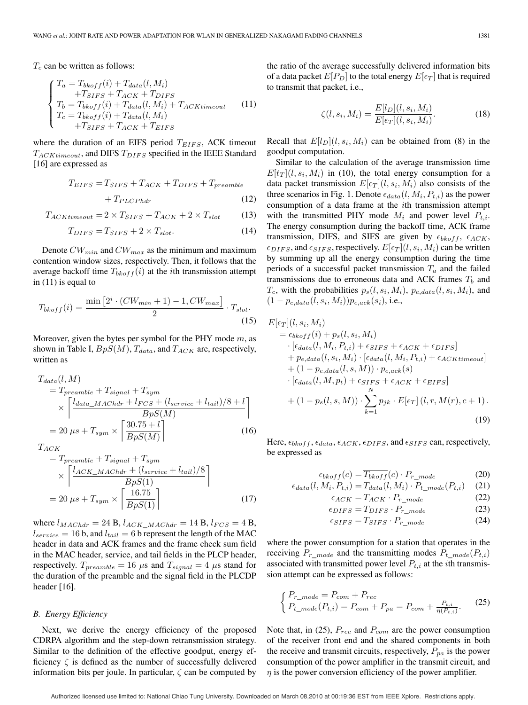$T_c$  can be written as follows:

$$
\begin{cases}\nT_a = T_{bkoff}(i) + T_{data}(l, M_i) \\
+T_{SIFS} + T_{ACK} + T_{DIFS} \\
T_b = T_{bkoff}(i) + T_{data}(l, M_i) + T_{ACKtimeout} \\
T_c = T_{bkoff}(i) + T_{data}(l, M_i) \\
+T_{SIFS} + T_{ACK} + T_{EIFS}\n\end{cases} (11)
$$

where the duration of an EIFS period  $T_{EIFS}$ , ACK timeout  $T_{ACKtimeout}$ , and DIFS  $T_{DIFS}$  specified in the IEEE Standard [16] are expressed as

$$
T_{EIFS} = T_{SIFS} + T_{ACK} + T_{DIFS} + T_{preamble}
$$

$$
+ T_{PLCPhdr}
$$
(12)

$$
T_{ACKtimeout} = 2 \times T_{SIFS} + T_{ACK} + 2 \times T_{slot}
$$
 (13)

$$
T_{DIFS} = T_{SIFS} + 2 \times T_{slot}.\tag{14}
$$

Denote  $CW_{min}$  and  $CW_{max}$  as the minimum and maximum contention window sizes, respectively. Then, it follows that the average backoff time  $T_{bkoff}(i)$  at the *i*th transmission attempt in (11) is equal to

$$
T_{b k of f}(i) = \frac{\min\left[2^i \cdot (CW_{min} + 1) - 1, CW_{max}\right]}{2} \cdot T_{slot}.
$$
\n(15)

Moreover, given the bytes per symbol for the PHY mode  $m$ , as shown in Table I,  $BpS(M)$ ,  $T_{data}$ , and  $T_{ACK}$  are, respectively, written as

$$
T_{data}(l, M)
$$
  
=  $T_{preamble} + T_{signal} + T_{sym}$   

$$
\times \left\lceil \frac{l_{data\_MACHdr} + l_{FCS} + (l_{service} + l_{tail})/8 + l}{BpS(M)} \right\rceil
$$
  
=  $20 \mu s + T_{sym} \times \left\lceil \frac{30.75 + l}{BpS(M)} \right\rceil$  (16)

$$
T_{ACK}
$$

$$
= T_{preamble} + T_{signal} + T_{sym}
$$
  
\n
$$
\times \left[ \frac{l_{ACK\_MAChdr} + (l_{service} + l_{tail})/8}{BpS(1)} \right]
$$
  
\n
$$
= 20 \mu s + T_{sym} \times \left[ \frac{16.75}{BpS(1)} \right]
$$
 (17)

where  $l_{MACHdr} = 24 B$ ,  $l_{ACK\_MACHdr} = 14 B$ ,  $l_{FCS} = 4 B$ ,  $l_{service} = 16$  b, and  $l_{tail} = 6$  b represent the length of the MAC header in data and ACK frames and the frame check sum field in the MAC header, service, and tail fields in the PLCP header, respectively.  $T_{preamble} = 16 \mu s$  and  $T_{signal} = 4 \mu s$  stand for the duration of the preamble and the signal field in the PLCDP header [16].

# *B. Energy Efficiency*

Next, we derive the energy efficiency of the proposed CDRPA algorithm and the step-down retransmission strategy. Similar to the definition of the effective goodput, energy efficiency  $\zeta$  is defined as the number of successfully delivered information bits per joule. In particular,  $\zeta$  can be computed by

the ratio of the average successfully delivered information bits of a data packet  $E[P_D]$  to the total energy  $E[\epsilon_T]$  that is required to transmit that packet, i.e.,

$$
\zeta(l, s_i, M_i) = \frac{E[l_D](l, s_i, M_i)}{E[\epsilon_T](l, s_i, M_i)}.
$$
\n(18)

Recall that  $E[l_D](l, s_i, M_i)$  can be obtained from (8) in the goodput computation.

Similar to the calculation of the average transmission time  $E[t_T](l, s_i, M_i)$  in (10), the total energy consumption for a data packet transmission  $E[\epsilon_T](l, s_i, M_i)$  also consists of the three scenarios in Fig. 1. Denote  $\epsilon_{data}(l, M_i, P_{t,i})$  as the power consumption of a data frame at the ith transmission attempt with the transmitted PHY mode  $M_i$  and power level  $P_{t,i}$ . The energy consumption during the backoff time, ACK frame transmission, DIFS, and SIFS are given by  $\epsilon_{b k off}$ ,  $\epsilon_{ACK}$ ,  $\epsilon_{DIFS}$ , and  $\epsilon_{SIFS}$ , respectively.  $E[\epsilon_T](l, s_i, M_i)$  can be written by summing up all the energy consumption during the time periods of a successful packet transmission  $T_a$  and the failed transmissions due to erroneous data and ACK frames  $T_b$  and  $T_c$ , with the probabilities  $p_s(l, s_i, M_i)$ ,  $p_{e, data}(l, s_i, M_i)$ , and  $(1 - p_{e, data}(l, s_i, M_i)) p_{e, ack}(s_i)$ , i.e.,

$$
E[\epsilon_T](l, s_i, M_i)
$$
  
=  $\epsilon_{bkoff}(i) + p_s(l, s_i, M_i)$   
· [ $\epsilon_{data}(l, M_i, P_{t,i}) + \epsilon_{SIFS} + \epsilon_{ACK} + \epsilon_{DIFS}$ ]  
+  $p_{e, data}(l, s_i, M_i) \cdot [\epsilon_{data}(l, M_i, P_{t,i}) + \epsilon_{ACKtimeout}]$   
+  $(1 - p_{e, data}(l, s, M)) \cdot p_{e,ack}(s)$   
· [ $\epsilon_{data}(l, M, p_t) + \epsilon_{SIFS} + \epsilon_{ACK} + \epsilon_{EIFS}$ ]  
+  $(1 - p_s(l, s, M)) \cdot \sum_{k=1}^{N} p_{jk} \cdot E[\epsilon_T] (l, r, M(r), c + 1).$  (19)

Here,  $\epsilon_{b k off}$ ,  $\epsilon_{data}$ ,  $\epsilon_{ACK}$ ,  $\epsilon_{DIFS}$ , and  $\epsilon_{SIFS}$  can, respectively, be expressed as

$$
\epsilon_{bkoff}(c) = \overline{T_{bkoff}}(c) \cdot P_{r\_mode}
$$
 (20)

$$
\epsilon_{data}(l, M_i, P_{t,i}) = T_{data}(l, M_i) \cdot P_{t\_mode}(P_{t,i}) \quad (21)
$$

$$
\epsilon_{ACK} = T_{ACK} \cdot P_{r\_mode} \tag{22}
$$

$$
\epsilon_{DIFS} = T_{DIFS} \cdot P_{r\_mode} \tag{23}
$$

$$
\epsilon_{SIFS} = T_{SIFS} \cdot P_{r\_mode} \tag{24}
$$

where the power consumption for a station that operates in the receiving  $P_{r\ mode}$  and the transmitting modes  $P_{t\ mode}(P_{t,i})$ associated with transmitted power level  $P_{t,i}$  at the *i*th transmission attempt can be expressed as follows:

$$
\begin{cases}\nP_{r\_mode} = P_{com} + P_{rec} \\
P_{t\_mode}(P_{t,i}) = P_{com} + P_{pa} = P_{com} + \frac{P_{t,i}}{\eta(P_{t,i})}.\n\end{cases}
$$
\n(25)

Note that, in (25),  $P_{rec}$  and  $P_{com}$  are the power consumption of the receiver front end and the shared components in both the receive and transmit circuits, respectively,  $P_{pa}$  is the power consumption of the power amplifier in the transmit circuit, and  $\eta$  is the power conversion efficiency of the power amplifier.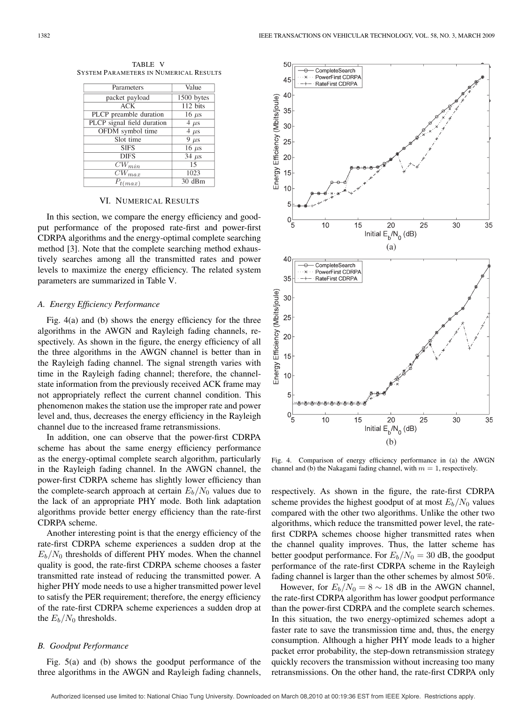TABLE V SYSTEM PARAMETERS IN NUMERICAL RESULTS

| Parameters                 | Value                   |
|----------------------------|-------------------------|
| packet payload             | $\overline{1500}$ bytes |
| ACK                        | 112 bits                |
| PLCP preamble duration     | 16 $\mu$ s              |
| PLCP signal field duration | $4 \mu s$               |
| OFDM symbol time           | $4 \mu s$               |
| Slot time                  | $9 \mu s$               |
| <b>SIFS</b>                | $16 \mu s$              |
| DIFS                       | $34 \mu s$              |
| $\overline{CW_{min}}$      | 15                      |
| $\overline{CW_{max}}$      | 1023                    |
| $P_{\rm{max}}$             | 30 dBm                  |

# VI. NUMERICAL RESULTS

In this section, we compare the energy efficiency and goodput performance of the proposed rate-first and power-first CDRPA algorithms and the energy-optimal complete searching method [3]. Note that the complete searching method exhaustively searches among all the transmitted rates and power levels to maximize the energy efficiency. The related system parameters are summarized in Table V.

#### *A. Energy Efficiency Performance*

Fig. 4(a) and (b) shows the energy efficiency for the three algorithms in the AWGN and Rayleigh fading channels, respectively. As shown in the figure, the energy efficiency of all the three algorithms in the AWGN channel is better than in the Rayleigh fading channel. The signal strength varies with time in the Rayleigh fading channel; therefore, the channelstate information from the previously received ACK frame may not appropriately reflect the current channel condition. This phenomenon makes the station use the improper rate and power level and, thus, decreases the energy efficiency in the Rayleigh channel due to the increased frame retransmissions.

In addition, one can observe that the power-first CDRPA scheme has about the same energy efficiency performance as the energy-optimal complete search algorithm, particularly in the Rayleigh fading channel. In the AWGN channel, the power-first CDRPA scheme has slightly lower efficiency than the complete-search approach at certain  $E_b/N_0$  values due to the lack of an appropriate PHY mode. Both link adaptation algorithms provide better energy efficiency than the rate-first CDRPA scheme.

Another interesting point is that the energy efficiency of the rate-first CDRPA scheme experiences a sudden drop at the  $E_b/N_0$  thresholds of different PHY modes. When the channel quality is good, the rate-first CDRPA scheme chooses a faster transmitted rate instead of reducing the transmitted power. A higher PHY mode needs to use a higher transmitted power level to satisfy the PER requirement; therefore, the energy efficiency of the rate-first CDRPA scheme experiences a sudden drop at the  $E_b/N_0$  thresholds.

# *B. Goodput Performance*

Fig. 5(a) and (b) shows the goodput performance of the three algorithms in the AWGN and Rayleigh fading channels,



Fig. 4. Comparison of energy efficiency performance in (a) the AWGN channel and (b) the Nakagami fading channel, with  $m = 1$ , respectively.

respectively. As shown in the figure, the rate-first CDRPA scheme provides the highest goodput of at most  $E_b/N_0$  values compared with the other two algorithms. Unlike the other two algorithms, which reduce the transmitted power level, the ratefirst CDRPA schemes choose higher transmitted rates when the channel quality improves. Thus, the latter scheme has better goodput performance. For  $E_b/N_0 = 30$  dB, the goodput performance of the rate-first CDRPA scheme in the Rayleigh fading channel is larger than the other schemes by almost 50%.

However, for  $E_b/N_0 = 8 \sim 18$  dB in the AWGN channel, the rate-first CDRPA algorithm has lower goodput performance than the power-first CDRPA and the complete search schemes. In this situation, the two energy-optimized schemes adopt a faster rate to save the transmission time and, thus, the energy consumption. Although a higher PHY mode leads to a higher packet error probability, the step-down retransmission strategy quickly recovers the transmission without increasing too many retransmissions. On the other hand, the rate-first CDRPA only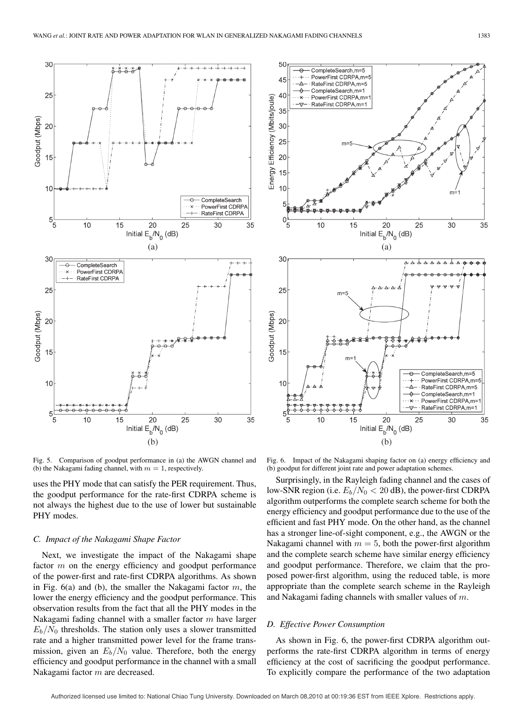

Fig. 5. Comparison of goodput performance in (a) the AWGN channel and (b) the Nakagami fading channel, with  $m = 1$ , respectively.

uses the PHY mode that can satisfy the PER requirement. Thus, the goodput performance for the rate-first CDRPA scheme is not always the highest due to the use of lower but sustainable PHY modes.

#### *C. Impact of the Nakagami Shape Factor*

Next, we investigate the impact of the Nakagami shape factor m on the energy efficiency and goodput performance of the power-first and rate-first CDRPA algorithms. As shown in Fig.  $6(a)$  and (b), the smaller the Nakagami factor  $m$ , the lower the energy efficiency and the goodput performance. This observation results from the fact that all the PHY modes in the Nakagami fading channel with a smaller factor  $m$  have larger  $E_b/N_0$  thresholds. The station only uses a slower transmitted rate and a higher transmitted power level for the frame transmission, given an  $E_b/N_0$  value. Therefore, both the energy efficiency and goodput performance in the channel with a small Nakagami factor m are decreased.



Fig. 6. Impact of the Nakagami shaping factor on (a) energy efficiency and (b) goodput for different joint rate and power adaptation schemes.

Surprisingly, in the Rayleigh fading channel and the cases of low-SNR region (i.e.  $E_b/N_0 < 20$  dB), the power-first CDRPA algorithm outperforms the complete search scheme for both the energy efficiency and goodput performance due to the use of the efficient and fast PHY mode. On the other hand, as the channel has a stronger line-of-sight component, e.g., the AWGN or the Nakagami channel with  $m = 5$ , both the power-first algorithm and the complete search scheme have similar energy efficiency and goodput performance. Therefore, we claim that the proposed power-first algorithm, using the reduced table, is more appropriate than the complete search scheme in the Rayleigh and Nakagami fading channels with smaller values of m.

#### *D. Effective Power Consumption*

As shown in Fig. 6, the power-first CDRPA algorithm outperforms the rate-first CDRPA algorithm in terms of energy efficiency at the cost of sacrificing the goodput performance. To explicitly compare the performance of the two adaptation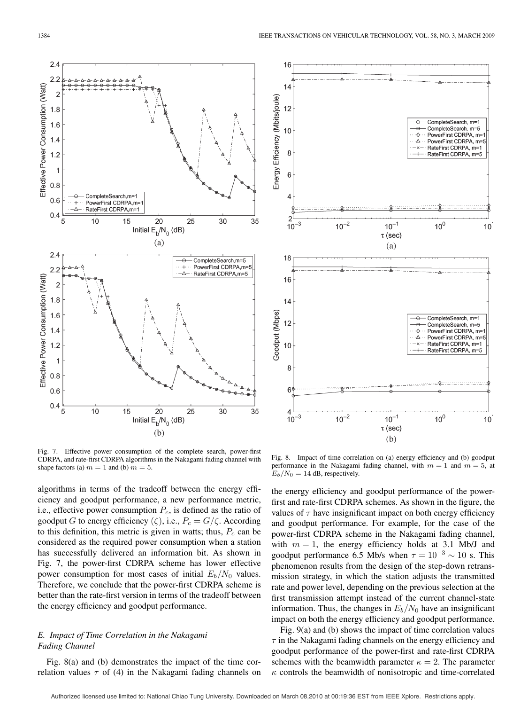

Fig. 7. Effective power consumption of the complete search, power-first CDRPA, and rate-first CDRPA algorithms in the Nakagami fading channel with shape factors (a)  $m = 1$  and (b)  $m = 5$ .

algorithms in terms of the tradeoff between the energy efficiency and goodput performance, a new performance metric, i.e., effective power consumption  $P_c$ , is defined as the ratio of goodput G to energy efficiency ( $\zeta$ ), i.e.,  $P_c = G/\zeta$ . According to this definition, this metric is given in watts; thus,  $P_c$  can be considered as the required power consumption when a station has successfully delivered an information bit. As shown in Fig. 7, the power-first CDRPA scheme has lower effective power consumption for most cases of initial  $E_b/N_0$  values. Therefore, we conclude that the power-first CDRPA scheme is better than the rate-first version in terms of the tradeoff between the energy efficiency and goodput performance.

# *E. Impact of Time Correlation in the Nakagami Fading Channel*

Fig. 8(a) and (b) demonstrates the impact of the time correlation values  $\tau$  of (4) in the Nakagami fading channels on



Fig. 8. Impact of time correlation on (a) energy efficiency and (b) goodput performance in the Nakagami fading channel, with  $m = 1$  and  $m = 5$ , at  $E_b/N_0 = 14$  dB, respectively.

the energy efficiency and goodput performance of the powerfirst and rate-first CDRPA schemes. As shown in the figure, the values of  $\tau$  have insignificant impact on both energy efficiency and goodput performance. For example, for the case of the power-first CDRPA scheme in the Nakagami fading channel, with  $m = 1$ , the energy efficiency holds at 3.1 Mb/J and goodput performance 6.5 Mb/s when  $\tau = 10^{-3} \sim 10$  s. This phenomenon results from the design of the step-down retransmission strategy, in which the station adjusts the transmitted rate and power level, depending on the previous selection at the first transmission attempt instead of the current channel-state information. Thus, the changes in  $E_b/N_0$  have an insignificant impact on both the energy efficiency and goodput performance.

Fig. 9(a) and (b) shows the impact of time correlation values  $\tau$  in the Nakagami fading channels on the energy efficiency and goodput performance of the power-first and rate-first CDRPA schemes with the beamwidth parameter  $\kappa = 2$ . The parameter  $\kappa$  controls the beamwidth of nonisotropic and time-correlated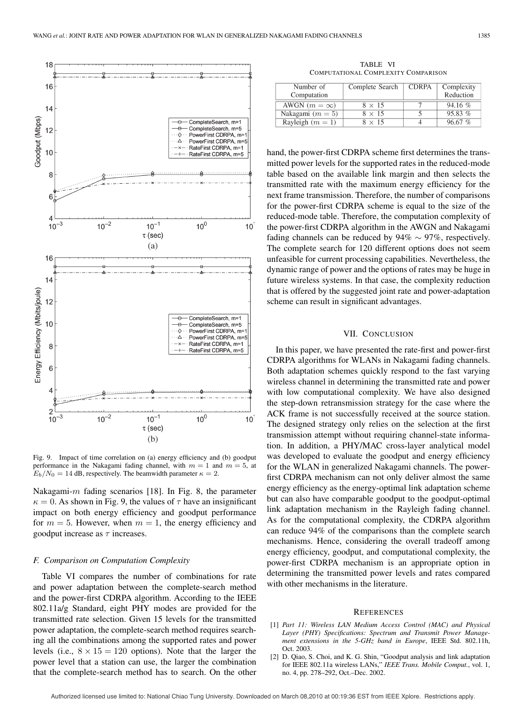

Fig. 9. Impact of time correlation on (a) energy efficiency and (b) goodput performance in the Nakagami fading channel, with  $m = 1$  and  $m = 5$ , at  $E_b/N_0 = 14$  dB, respectively. The beamwidth parameter  $\kappa = 2$ .

Nakagami- $m$  fading scenarios [18]. In Fig. 8, the parameter  $\kappa = 0$ . As shown in Fig. 9, the values of  $\tau$  have an insignificant impact on both energy efficiency and goodput performance for  $m = 5$ . However, when  $m = 1$ , the energy efficiency and goodput increase as  $\tau$  increases.

#### *F. Comparison on Computation Complexity*

Table VI compares the number of combinations for rate and power adaptation between the complete-search method and the power-first CDRPA algorithm. According to the IEEE 802.11a/g Standard, eight PHY modes are provided for the transmitted rate selection. Given 15 levels for the transmitted power adaptation, the complete-search method requires searching all the combinations among the supported rates and power levels (i.e.,  $8 \times 15 = 120$  options). Note that the larger the power level that a station can use, the larger the combination that the complete-search method has to search. On the other

TABLE VI COMPUTATIONAL COMPLEXITY COMPARISON

| Number of<br>Computation | Complete Search | <b>CDRPA</b> | Complexity<br>Reduction |
|--------------------------|-----------------|--------------|-------------------------|
| AWGN $(m = \infty)$      | $8 \times 15$   |              | $94.16\%$               |
| Nakagami $(m = 5)$       | $8 \times 15$   |              | 95.83%                  |
| Rayleigh $(m = 1)$       | $8 \times 15$   |              | 9667%                   |

hand, the power-first CDRPA scheme first determines the transmitted power levels for the supported rates in the reduced-mode table based on the available link margin and then selects the transmitted rate with the maximum energy efficiency for the next frame transmission. Therefore, the number of comparisons for the power-first CDRPA scheme is equal to the size of the reduced-mode table. Therefore, the computation complexity of the power-first CDRPA algorithm in the AWGN and Nakagami fading channels can be reduced by  $94\% \sim 97\%$ , respectively. The complete search for 120 different options does not seem unfeasible for current processing capabilities. Nevertheless, the dynamic range of power and the options of rates may be huge in future wireless systems. In that case, the complexity reduction that is offered by the suggested joint rate and power-adaptation scheme can result in significant advantages.

# VII. CONCLUSION

In this paper, we have presented the rate-first and power-first CDRPA algorithms for WLANs in Nakagami fading channels. Both adaptation schemes quickly respond to the fast varying wireless channel in determining the transmitted rate and power with low computational complexity. We have also designed the step-down retransmission strategy for the case where the ACK frame is not successfully received at the source station. The designed strategy only relies on the selection at the first transmission attempt without requiring channel-state information. In addition, a PHY/MAC cross-layer analytical model was developed to evaluate the goodput and energy efficiency for the WLAN in generalized Nakagami channels. The powerfirst CDRPA mechanism can not only deliver almost the same energy efficiency as the energy-optimal link adaptation scheme but can also have comparable goodput to the goodput-optimal link adaptation mechanism in the Rayleigh fading channel. As for the computational complexity, the CDRPA algorithm can reduce 94% of the comparisons than the complete search mechanisms. Hence, considering the overall tradeoff among energy efficiency, goodput, and computational complexity, the power-first CDRPA mechanism is an appropriate option in determining the transmitted power levels and rates compared with other mechanisms in the literature.

#### **REFERENCES**

- [1] *Part 11: Wireless LAN Medium Access Control (MAC) and Physical Layer (PHY) Specifications: Spectrum and Transmit Power Management extensions in the 5-GHz band in Europe*, IEEE Std. 802.11h, Oct. 2003.
- [2] D. Qiao, S. Choi, and K. G. Shin, "Goodput analysis and link adaptation for IEEE 802.11a wireless LANs," *IEEE Trans. Mobile Comput.*, vol. 1, no. 4, pp. 278–292, Oct.–Dec. 2002.